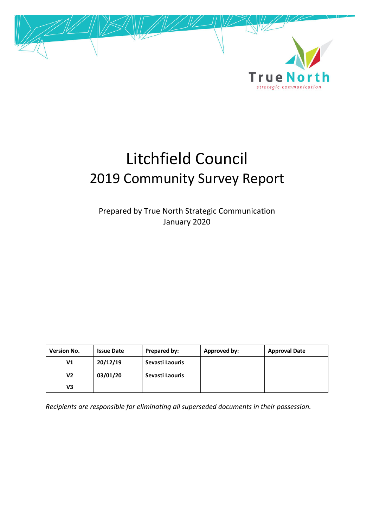

# Litchfield Council 2019 Community Survey Report

Prepared by True North Strategic Communication January 2020

| <b>Version No.</b> | <b>Issue Date</b> | Prepared by:    | Approved by: | <b>Approval Date</b> |
|--------------------|-------------------|-----------------|--------------|----------------------|
| V1                 | 20/12/19          | Sevasti Laouris |              |                      |
| V2                 | 03/01/20          | Sevasti Laouris |              |                      |
| V3                 |                   |                 |              |                      |

*Recipients are responsible for eliminating all superseded documents in their possession.*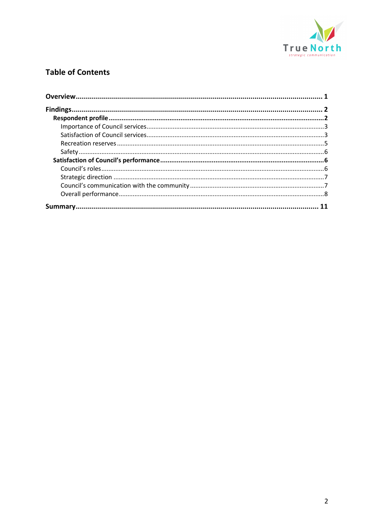

## **Table of Contents**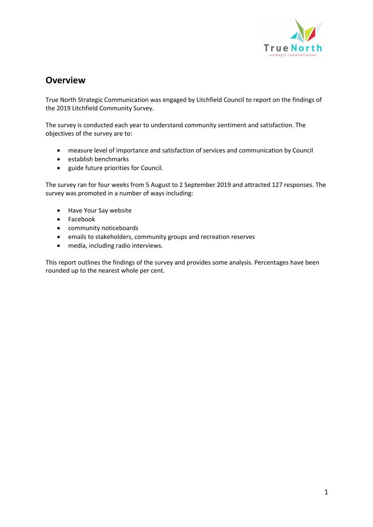

## **Overview**

True North Strategic Communication was engaged by Litchfield Council to report on the findings of the 2019 Litchfield Community Survey.

The survey is conducted each year to understand community sentiment and satisfaction. The objectives of the survey are to:

- measure level of importance and satisfaction of services and communication by Council
- establish benchmarks
- guide future priorities for Council.

The survey ran for four weeks from 5 August to 2 September 2019 and attracted 127 responses. The survey was promoted in a number of ways including:

- Have Your Say website
- Facebook
- community noticeboards
- emails to stakeholders, community groups and recreation reserves
- media, including radio interviews.

This report outlines the findings of the survey and provides some analysis. Percentages have been rounded up to the nearest whole per cent.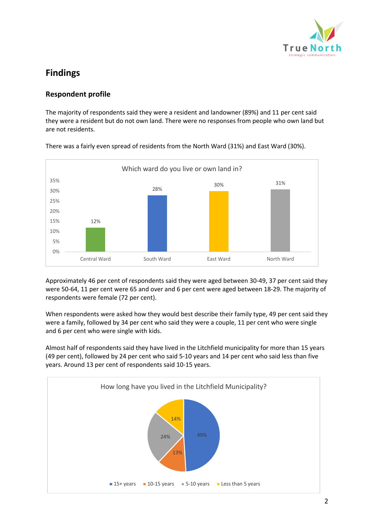

# **Findings**

### **Respondent profile**

The majority of respondents said they were a resident and landowner (89%) and 11 per cent said they were a resident but do not own land. There were no responses from people who own land but are not residents.



There was a fairly even spread of residents from the North Ward (31%) and East Ward (30%).

Approximately 46 per cent of respondents said they were aged between 30-49, 37 per cent said they were 50-64, 11 per cent were 65 and over and 6 per cent were aged between 18-29. The majority of respondents were female (72 per cent).

When respondents were asked how they would best describe their family type, 49 per cent said they were a family, followed by 34 per cent who said they were a couple, 11 per cent who were single and 6 per cent who were single with kids.

Almost half of respondents said they have lived in the Litchfield municipality for more than 15 years (49 per cent), followed by 24 per cent who said 5-10 years and 14 per cent who said less than five years. Around 13 per cent of respondents said 10-15 years.

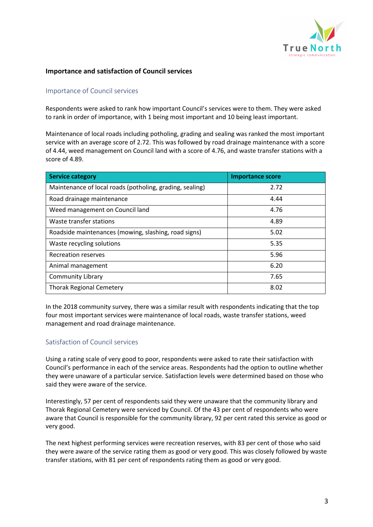

#### **Importance and satisfaction of Council services**

#### Importance of Council services

Respondents were asked to rank how important Council's services were to them. They were asked to rank in order of importance, with 1 being most important and 10 being least important.

Maintenance of local roads including potholing, grading and sealing was ranked the most important service with an average score of 2.72. This was followed by road drainage maintenance with a score of 4.44, weed management on Council land with a score of 4.76, and waste transfer stations with a score of 4.89.

| <b>Service category</b>                                  | <b>Importance score</b> |
|----------------------------------------------------------|-------------------------|
| Maintenance of local roads (potholing, grading, sealing) | 2.72                    |
| Road drainage maintenance                                | 4.44                    |
| Weed management on Council land                          | 4.76                    |
| Waste transfer stations                                  | 4.89                    |
| Roadside maintenances (mowing, slashing, road signs)     | 5.02                    |
| Waste recycling solutions                                | 5.35                    |
| Recreation reserves                                      | 5.96                    |
| Animal management                                        | 6.20                    |
| <b>Community Library</b>                                 | 7.65                    |
| <b>Thorak Regional Cemetery</b>                          | 8.02                    |

In the 2018 community survey, there was a similar result with respondents indicating that the top four most important services were maintenance of local roads, waste transfer stations, weed management and road drainage maintenance.

#### Satisfaction of Council services

Using a rating scale of very good to poor, respondents were asked to rate their satisfaction with Council's performance in each of the service areas. Respondents had the option to outline whether they were unaware of a particular service. Satisfaction levels were determined based on those who said they were aware of the service.

Interestingly, 57 per cent of respondents said they were unaware that the community library and Thorak Regional Cemetery were serviced by Council. Of the 43 per cent of respondents who were aware that Council is responsible for the community library, 92 per cent rated this service as good or very good.

The next highest performing services were recreation reserves, with 83 per cent of those who said they were aware of the service rating them as good or very good. This was closely followed by waste transfer stations, with 81 per cent of respondents rating them as good or very good.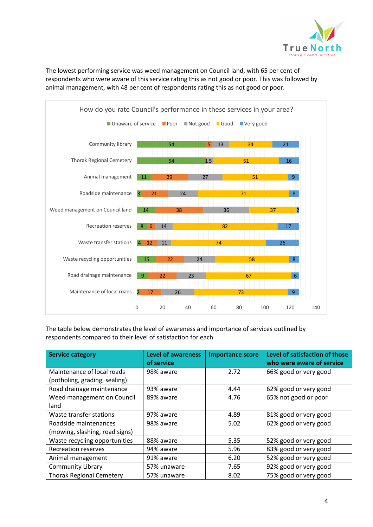

The lowest performing service was weed management on Council land, with 65 per cent of respondents who were aware of this service rating this as not good or poor. This was followed by animal management, with 48 per cent of respondents rating this as not good or poor.



The table below demonstrates the level of awareness and importance of services outlined by respondents compared to their level of satisfaction for each.

| <b>Service category</b>                                     | <b>Level of awareness</b><br>of service | <b>Importance score</b> | Level of satisfaction of those<br>who were aware of service |
|-------------------------------------------------------------|-----------------------------------------|-------------------------|-------------------------------------------------------------|
| Maintenance of local roads<br>(potholing, grading, sealing) | 98% aware                               | 2.72                    | 66% good or very good                                       |
| Road drainage maintenance                                   | 93% aware                               | 4.44                    | 62% good or very good                                       |
| Weed management on Council<br>land                          | 89% aware                               | 4.76                    | 65% not good or poor                                        |
| Waste transfer stations                                     | 97% aware                               | 4.89                    | 81% good or very good                                       |
| Roadside maintenances<br>(mowing, slashing, road signs)     | 98% aware                               | 5.02                    | 62% good or very good                                       |
| Waste recycling opportunities                               | 88% aware                               | 5.35                    | 52% good or very good                                       |
| <b>Recreation reserves</b>                                  | 94% aware                               | 5.96                    | 83% good or very good                                       |
| Animal management                                           | 91% aware                               | 6.20                    | 52% good or very good                                       |
| <b>Community Library</b>                                    | 57% unaware                             | 7.65                    | 92% good or very good                                       |
| <b>Thorak Regional Cemetery</b>                             | 57% unaware                             | 8.02                    | 75% good or very good                                       |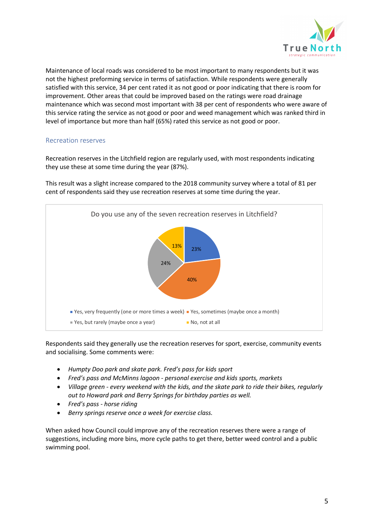

Maintenance of local roads was considered to be most important to many respondents but it was not the highest preforming service in terms of satisfaction. While respondents were generally satisfied with this service, 34 per cent rated it as not good or poor indicating that there is room for improvement. Other areas that could be improved based on the ratings were road drainage maintenance which was second most important with 38 per cent of respondents who were aware of this service rating the service as not good or poor and weed management which was ranked third in level of importance but more than half (65%) rated this service as not good or poor.

#### Recreation reserves

Recreation reserves in the Litchfield region are regularly used, with most respondents indicating they use these at some time during the year (87%).

This result was a slight increase compared to the 2018 community survey where a total of 81 per cent of respondents said they use recreation reserves at some time during the year.



Respondents said they generally use the recreation reserves for sport, exercise, community events and socialising. Some comments were:

- *Humpty Doo park and skate park. Fred's pass for kids sport*
- *Fred's pass and McMinns lagoon - personal exercise and kids sports, markets*
- *Village green - every weekend with the kids, and the skate park to ride their bikes, regularly out to Howard park and Berry Springs for birthday parties as well.*
- *Fred's pass - horse riding*
- *Berry springs reserve once a week for exercise class.*

When asked how Council could improve any of the recreation reserves there were a range of suggestions, including more bins, more cycle paths to get there, better weed control and a public swimming pool.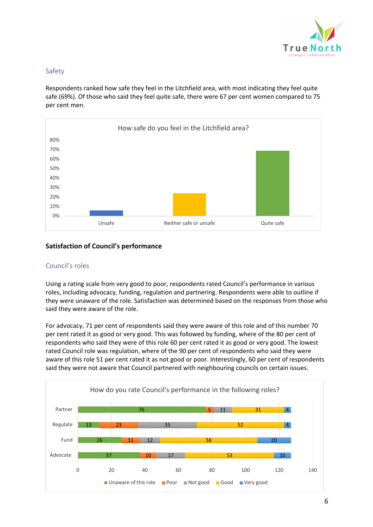

#### Safety

Respondents ranked how safe they feel in the Litchfield area, with most indicating they feel quite safe (69%). Of those who said they feel quite safe, there were 67 per cent women compared to 75 per cent men.



#### **Satisfaction of Council's performance**

#### Council's roles

Using a rating scale from very good to poor, respondents rated Council's performance in various roles, including advocacy, funding, regulation and partnering. Respondents were able to outline if they were unaware of the role. Satisfaction was determined based on the responses from those who said they were aware of the role.

For advocacy, 71 per cent of respondents said they were aware of this role and of this number 70 per cent rated it as good or very good. This was followed by funding, where of the 80 per cent of respondents who said they were of this role 60 per cent rated it as good or very good. The lowest rated Council role was regulation, where of the 90 per cent of respondents who said they were aware of this role 51 per cent rated it as not good or poor. Interestingly, 60 per cent of respondents said they were not aware that Council partnered with neighbouring councils on certain issues.

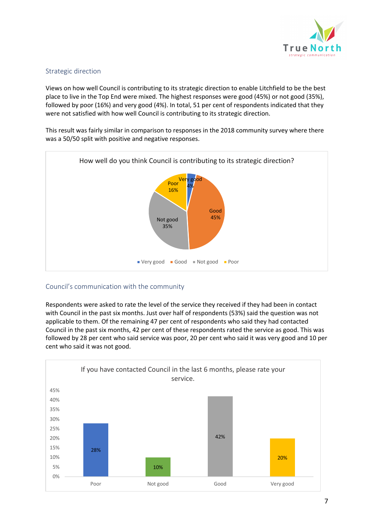

#### Strategic direction

Views on how well Council is contributing to its strategic direction to enable Litchfield to be the best place to live in the Top End were mixed. The highest responses were good (45%) or not good (35%), followed by poor (16%) and very good (4%). In total, 51 per cent of respondents indicated that they were not satisfied with how well Council is contributing to its strategic direction.

This result was fairly similar in comparison to responses in the 2018 community survey where there was a 50/50 split with positive and negative responses.



#### Council's communication with the community

Respondents were asked to rate the level of the service they received if they had been in contact with Council in the past six months. Just over half of respondents (53%) said the question was not applicable to them. Of the remaining 47 per cent of respondents who said they had contacted Council in the past six months, 42 per cent of these respondents rated the service as good. This was followed by 28 per cent who said service was poor, 20 per cent who said it was very good and 10 per cent who said it was not good.

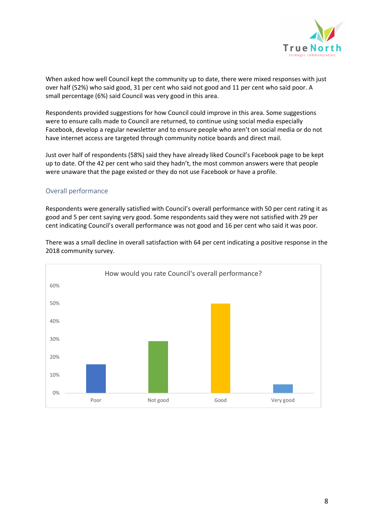

When asked how well Council kept the community up to date, there were mixed responses with just over half (52%) who said good, 31 per cent who said not good and 11 per cent who said poor. A small percentage (6%) said Council was very good in this area.

Respondents provided suggestions for how Council could improve in this area. Some suggestions were to ensure calls made to Council are returned, to continue using social media especially Facebook, develop a regular newsletter and to ensure people who aren't on social media or do not have internet access are targeted through community notice boards and direct mail.

Just over half of respondents (58%) said they have already liked Council's Facebook page to be kept up to date. Of the 42 per cent who said they hadn't, the most common answers were that people were unaware that the page existed or they do not use Facebook or have a profile.

#### Overall performance

Respondents were generally satisfied with Council's overall performance with 50 per cent rating it as good and 5 per cent saying very good. Some respondents said they were not satisfied with 29 per cent indicating Council's overall performance was not good and 16 per cent who said it was poor.



There was a small decline in overall satisfaction with 64 per cent indicating a positive response in the 2018 community survey.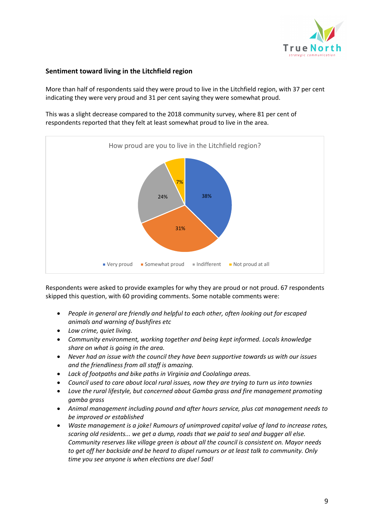

#### **Sentiment toward living in the Litchfield region**

More than half of respondents said they were proud to live in the Litchfield region, with 37 per cent indicating they were very proud and 31 per cent saying they were somewhat proud.

This was a slight decrease compared to the 2018 community survey, where 81 per cent of respondents reported that they felt at least somewhat proud to live in the area.



Respondents were asked to provide examples for why they are proud or not proud. 67 respondents skipped this question, with 60 providing comments. Some notable comments were:

- *People in general are friendly and helpful to each other, often looking out for escaped animals and warning of bushfires etc*
- *Low crime, quiet living.*
- *Community environment, working together and being kept informed. Locals knowledge share on what is going in the area.*
- *Never had an issue with the council they have been supportive towards us with our issues and the friendliness from all staff is amazing.*
- *Lack of footpaths and bike paths in Virginia and Coolalinga areas.*
- *Council used to care about local rural issues, now they are trying to turn us into townies*
- *Love the rural lifestyle, but concerned about Gamba grass and fire management promoting gamba grass*
- *Animal management including pound and after hours service, plus cat management needs to be improved or established*
- *Waste management is a joke! Rumours of unimproved capital value of land to increase rates, scaring old residents... we get a dump, roads that we paid to seal and bugger all else. Community reserves like village green is about all the council is consistent on. Mayor needs to get off her backside and be heard to dispel rumours or at least talk to community. Only time you see anyone is when elections are due! Sad!*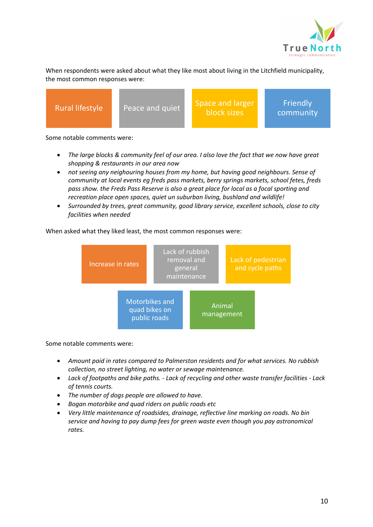

When respondents were asked about what they like most about living in the Litchfield municipality, the most common responses were:

Rural lifestyle Peace and quiet Space and larger block sizes

**Friendly** community

Some notable comments were:

- *The large blocks & community feel of our area. I also love the fact that we now have great shopping & restaurants in our area now*
- *not seeing any neighouring houses from my home, but having good neighbours. Sense of community at local events eg freds pass markets, berry springs markets, school fetes, freds pass show. the Freds Pass Reserve is also a great place for local as a focal sporting and recreation place open spaces, quiet un suburban living, bushland and wildlife!*
- *Surrounded by trees, great community, good library service, excellent schools, close to city facilities when needed*

#### When asked what they liked least, the most common responses were:



Some notable comments were:

- *Amount paid in rates compared to Palmerston residents and for what services. No rubbish collection, no street lighting, no water or sewage maintenance.*
- *Lack of footpaths and bike paths. - Lack of recycling and other waste transfer facilities - Lack of tennis courts.*
- *The number of dogs people are allowed to have.*
- *Bogan motorbike and quad riders on public roads etc*
- *Very little maintenance of roadsides, drainage, reflective line marking on roads. No bin service and having to pay dump fees for green waste even though you pay astronomical rates.*